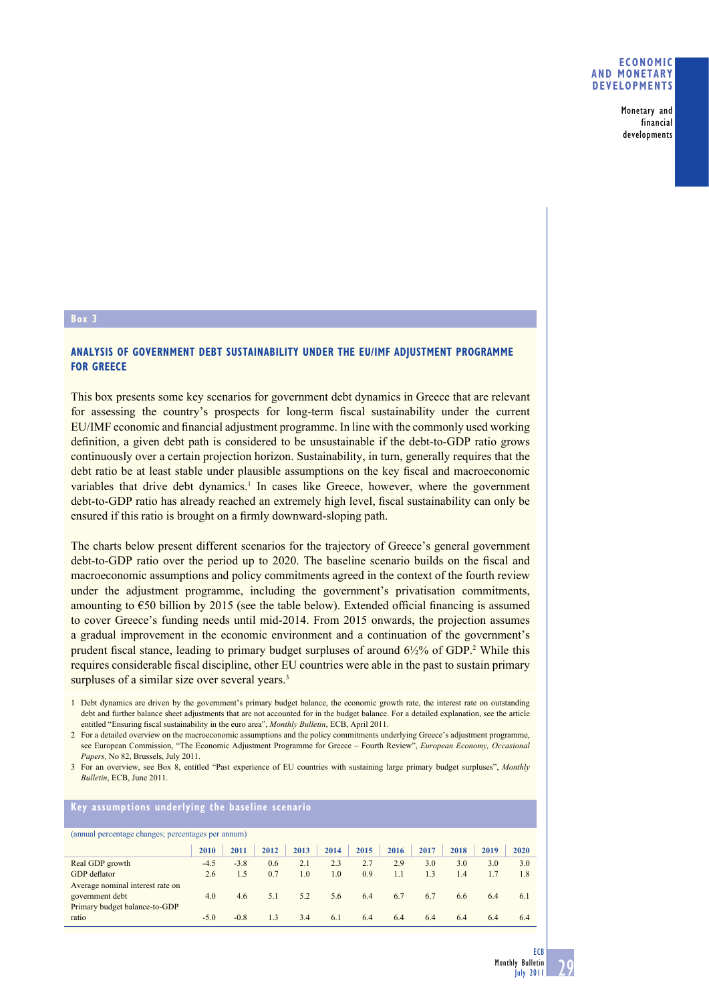Monetary and financial developments

## **Box 3**

## **ANALYSIS OF GOVERNMENT DEBT SUSTAINABILITY UNDER THE EU/IMF ADJUSTMENT PROGRAMME FOR GREECE**

This box presents some key scenarios for government debt dynamics in Greece that are relevant for assessing the country's prospects for long-term fiscal sustainability under the current EU/IMF economic and financial adjustment programme. In line with the commonly used working definition, a given debt path is considered to be unsustainable if the debt-to-GDP ratio grows continuously over a certain projection horizon. Sustainability, in turn, generally requires that the debt ratio be at least stable under plausible assumptions on the key fiscal and macroeconomic variables that drive debt dynamics.<sup>1</sup> In cases like Greece, however, where the government debt-to-GDP ratio has already reached an extremely high level, fiscal sustainability can only be ensured if this ratio is brought on a firmly downward-sloping path.

The charts below present different scenarios for the trajectory of Greece's general government debt-to-GDP ratio over the period up to 2020. The baseline scenario builds on the fiscal and macroeconomic assumptions and policy commitments agreed in the context of the fourth review under the adjustment programme, including the government's privatisation commitments, amounting to  $\epsilon$ 50 billion by 2015 (see the table below). Extended official financing is assumed to cover Greece's funding needs until mid-2014. From 2015 onwards, the projection assumes a gradual improvement in the economic environment and a continuation of the government's prudent fiscal stance, leading to primary budget surpluses of around  $6\frac{1}{2}\%$  of GDP.<sup>2</sup> While this requires considerable fiscal discipline, other EU countries were able in the past to sustain primary surpluses of a similar size over several years.<sup>3</sup>

1 Debt dynamics are driven by the government's primary budget balance, the economic growth rate, the interest rate on outstanding debt and further balance sheet adjustments that are not accounted for in the budget balance. For a detailed explanation, see the article entitled "Ensuring fiscal sustainability in the euro area", *Monthly Bulletin*, ECB, April 2011.

2 For a detailed overview on the macroeconomic assumptions and the policy commitments underlying Greece's adjustment programme, see European Commission, "The Economic Adjustment Programme for Greece – Fourth Review", *European Economy, Occasional Papers,* No 82, Brussels, July 2011.

3 For an overview, see Box 8, entitled "Past experience of EU countries with sustaining large primary budget surpluses", *Monthly Bulletin*, ECB, June 2011.

| Key assumptions underlying the baseline scenario   |        |        |      |      |      |      |      |      |      |      |      |
|----------------------------------------------------|--------|--------|------|------|------|------|------|------|------|------|------|
| (annual percentage changes; percentages per annum) |        |        |      |      |      |      |      |      |      |      |      |
|                                                    | 2010   | 2011   | 2012 | 2013 | 2014 | 2015 | 2016 | 2017 | 2018 | 2019 | 2020 |
| Real GDP growth                                    | $-4.5$ | $-3.8$ | 0.6  | 2.1  | 2.3  | 2.7  | 2.9  | 3.0  | 3.0  | 3.0  | 3.0  |
| GDP deflator                                       | 2.6    | 1.5    | 0.7  | 1.0  | 1.0  | 0.9  | 1.1  | 1.3  | 1.4  | 1.7  | 1.8  |
| Average nominal interest rate on                   |        |        |      |      |      |      |      |      |      |      |      |
| government debt                                    | 4.0    | 4.6    | 5.1  | 5.2  | 5.6  | 6.4  | 6.7  | 6.7  | 6.6  | 6.4  | 6.1  |
| Primary budget balance-to-GDP                      |        |        |      |      |      |      |      |      |      |      |      |
| ratio                                              | $-5.0$ | $-0.8$ | 1.3  | 3.4  | 6.1  | 6.4  | 6.4  | 6.4  | 6.4  | 6.4  | 6.4  |